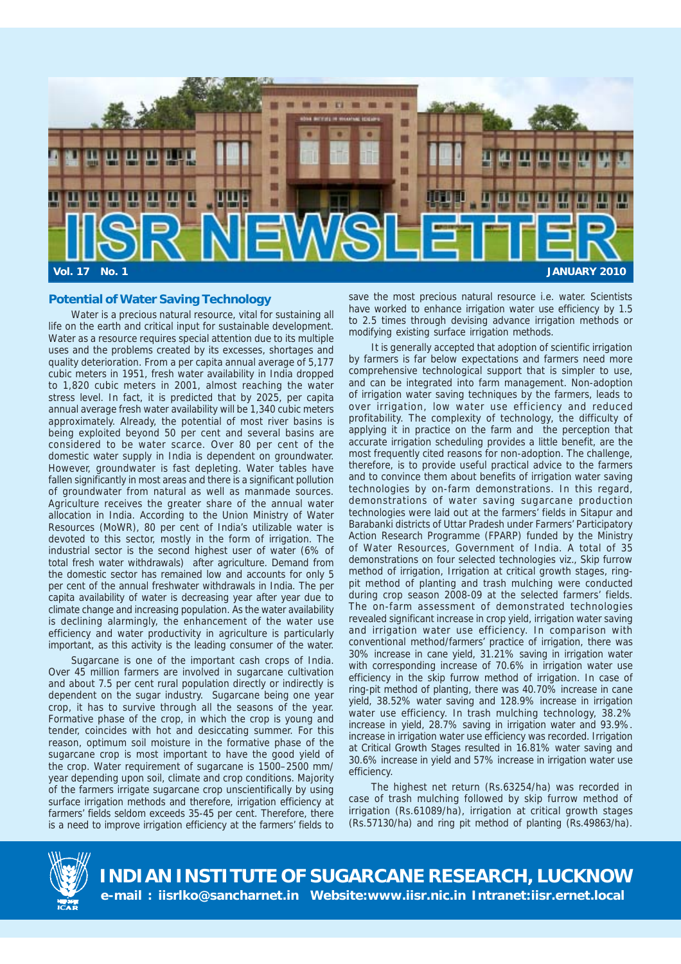

# **Potential of Water Saving Technology**

Water is a precious natural resource, vital for sustaining all life on the earth and critical input for sustainable development. Water as a resource requires special attention due to its multiple uses and the problems created by its excesses, shortages and quality deterioration. From a per capita annual average of 5,177 cubic meters in 1951, fresh water availability in India dropped to 1,820 cubic meters in 2001, almost reaching the water stress level. In fact, it is predicted that by 2025, per capita annual average fresh water availability will be 1,340 cubic meters approximately. Already, the potential of most river basins is being exploited beyond 50 per cent and several basins are considered to be water scarce. Over 80 per cent of the domestic water supply in India is dependent on groundwater. However, groundwater is fast depleting. Water tables have fallen significantly in most areas and there is a significant pollution of groundwater from natural as well as manmade sources. Agriculture receives the greater share of the annual water allocation in India. According to the Union Ministry of Water Resources (MoWR), 80 per cent of India's utilizable water is devoted to this sector, mostly in the form of irrigation. The industrial sector is the second highest user of water (6% of total fresh water withdrawals) after agriculture. Demand from the domestic sector has remained low and accounts for only 5 per cent of the annual freshwater withdrawals in India. The per capita availability of water is decreasing year after year due to climate change and increasing population. As the water availability is declining alarmingly, the enhancement of the water use efficiency and water productivity in agriculture is particularly important, as this activity is the leading consumer of the water.

Sugarcane is one of the important cash crops of India. Over 45 million farmers are involved in sugarcane cultivation and about 7.5 per cent rural population directly or indirectly is dependent on the sugar industry. Sugarcane being one year crop, it has to survive through all the seasons of the year. Formative phase of the crop, in which the crop is young and tender, coincides with hot and desiccating summer. For this reason, optimum soil moisture in the formative phase of the sugarcane crop is most important to have the good yield of the crop. Water requirement of sugarcane is 1500–2500 mm/ year depending upon soil, climate and crop conditions. Majority of the farmers irrigate sugarcane crop unscientifically by using surface irrigation methods and therefore, irrigation efficiency at farmers' fields seldom exceeds 35-45 per cent. Therefore, there is a need to improve irrigation efficiency at the farmers' fields to save the most precious natural resource i.e. water. Scientists have worked to enhance irrigation water use efficiency by 1.5 to 2.5 times through devising advance irrigation methods or modifying existing surface irrigation methods.

It is generally accepted that adoption of scientific irrigation by farmers is far below expectations and farmers need more comprehensive technological support that is simpler to use, and can be integrated into farm management. Non-adoption of irrigation water saving techniques by the farmers, leads to over irrigation, low water use efficiency and reduced profitability. The complexity of technology, the difficulty of applying it in practice on the farm and the perception that accurate irrigation scheduling provides a little benefit, are the most frequently cited reasons for non-adoption. The challenge, therefore, is to provide useful practical advice to the farmers and to convince them about benefits of irrigation water saving technologies by on-farm demonstrations. In this regard, demonstrations of water saving sugarcane production technologies were laid out at the farmers' fields in Sitapur and Barabanki districts of Uttar Pradesh under Farmers' Participatory Action Research Programme (FPARP) funded by the Ministry of Water Resources, Government of India. A total of 35 demonstrations on four selected technologies viz., Skip furrow method of irrigation, Irrigation at critical growth stages, ringpit method of planting and trash mulching were conducted during crop season 2008-09 at the selected farmers' fields. The on-farm assessment of demonstrated technologies revealed significant increase in crop yield, irrigation water saving and irrigation water use efficiency. In comparison with conventional method/farmers' practice of irrigation, there was 30% increase in cane yield, 31.21% saving in irrigation water with corresponding increase of 70.6% in irrigation water use efficiency in the skip furrow method of irrigation. In case of ring-pit method of planting, there was 40.70% increase in cane yield, 38.52% water saving and 128.9% increase in irrigation water use efficiency. In trash mulching technology, 38.2% increase in yield, 28.7% saving in irrigation water and 93.9%. increase in irrigation water use efficiency was recorded. Irrigation at Critical Growth Stages resulted in 16.81% water saving and 30.6% increase in yield and 57% increase in irrigation water use efficiency.

The highest net return (Rs.63254/ha) was recorded in case of trash mulching followed by skip furrow method of irrigation (Rs.61089/ha), irrigation at critical growth stages (Rs.57130/ha) and ring pit method of planting (Rs.49863/ha).



**INDIAN INSTITUTE OF SUGARCANE RESEARCH, LUCKNOW e-mail : iisrlko@sancharnet.in Website:www.iisr.nic.in Intranet:iisr.ernet.local**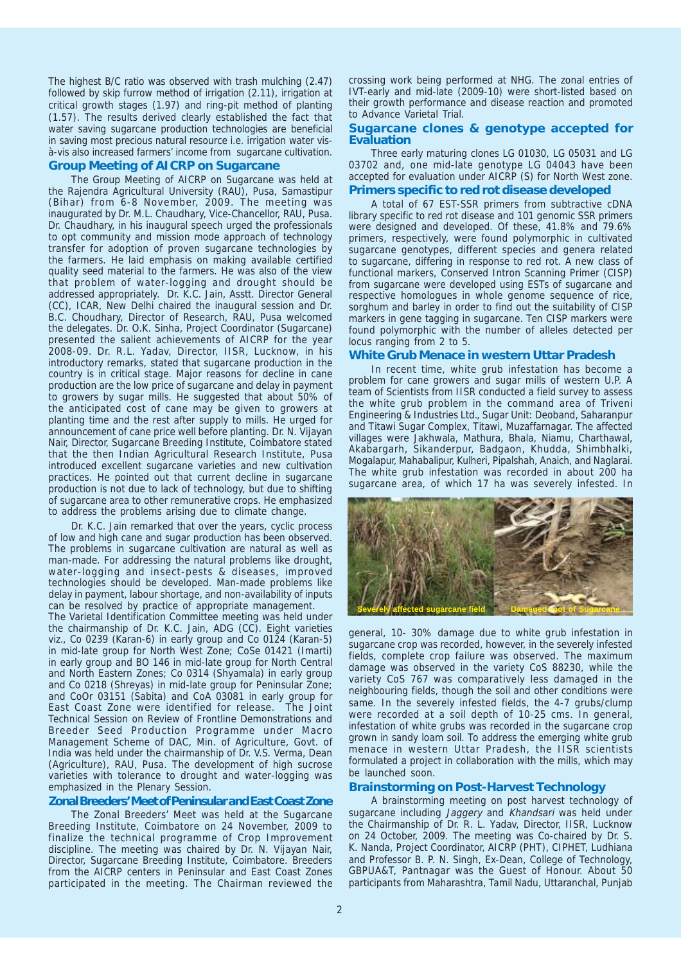The highest B/C ratio was observed with trash mulching (2.47) followed by skip furrow method of irrigation (2.11), irrigation at critical growth stages (1.97) and ring-pit method of planting (1.57). The results derived clearly established the fact that water saving sugarcane production technologies are beneficial in saving most precious natural resource i.e. irrigation water visà-vis also increased farmers' income from sugarcane cultivation. **Group Meeting of AICRP on Sugarcane**

The Group Meeting of AICRP on Sugarcane was held at the Rajendra Agricultural University (RAU), Pusa, Samastipur (Bihar) from 6-8 November, 2009. The meeting was inaugurated by Dr. M.L. Chaudhary, Vice-Chancellor, RAU, Pusa. Dr. Chaudhary, in his inaugural speech urged the professionals to opt community and mission mode approach of technology transfer for adoption of proven sugarcane technologies by the farmers. He laid emphasis on making available certified quality seed material to the farmers. He was also of the view that problem of water-logging and drought should be addressed appropriately. Dr. K.C. Jain, Asstt. Director General (CC), ICAR, New Delhi chaired the inaugural session and Dr. B.C. Choudhary, Director of Research, RAU, Pusa welcomed the delegates. Dr. O.K. Sinha, Project Coordinator (Sugarcane) presented the salient achievements of AICRP for the year 2008-09. Dr. R.L. Yadav, Director, IISR, Lucknow, in his introductory remarks, stated that sugarcane production in the country is in critical stage. Major reasons for decline in cane production are the low price of sugarcane and delay in payment to growers by sugar mills. He suggested that about 50% of the anticipated cost of cane may be given to growers at planting time and the rest after supply to mills. He urged for announcement of cane price well before planting. Dr. N. Vijayan Nair, Director, Sugarcane Breeding Institute, Coimbatore stated that the then Indian Agricultural Research Institute, Pusa introduced excellent sugarcane varieties and new cultivation practices. He pointed out that current decline in sugarcane production is not due to lack of technology, but due to shifting of sugarcane area to other remunerative crops. He emphasized to address the problems arising due to climate change.

Dr. K.C. Jain remarked that over the years, cyclic process of low and high cane and sugar production has been observed. The problems in sugarcane cultivation are natural as well as man-made. For addressing the natural problems like drought, water-logging and insect-pests & diseases, improved technologies should be developed. Man-made problems like delay in payment, labour shortage, and non-availability of inputs can be resolved by practice of appropriate management.

The Varietal Identification Committee meeting was held under the chairmanship of Dr. K.C. Jain, ADG (CC). Eight varieties viz., Co 0239 (Karan-6) in early group and Co 0124 (Karan-5) in mid-late group for North West Zone; CoSe 01421 (Imarti) in early group and BO 146 in mid-late group for North Central and North Eastern Zones; Co 0314 (Shyamala) in early group and Co 0218 (Shreyas) in mid-late group for Peninsular Zone; and CoOr 03151 (Sabita) and CoA 03081 in early group for East Coast Zone were identified for release. The Joint Technical Session on Review of Frontline Demonstrations and Breeder Seed Production Programme under Macro Management Scheme of DAC, Min. of Agriculture, Govt. of India was held under the chairmanship of Dr. V.S. Verma, Dean (Agriculture), RAU, Pusa. The development of high sucrose varieties with tolerance to drought and water-logging was emphasized in the Plenary Session.

#### **Zonal Breeders' Meet of Peninsular and East Coast Zone**

The Zonal Breeders' Meet was held at the Sugarcane Breeding Institute, Coimbatore on 24 November, 2009 to finalize the technical programme of Crop Improvement discipline. The meeting was chaired by Dr. N. Vijayan Nair, Director, Sugarcane Breeding Institute, Coimbatore. Breeders from the AICRP centers in Peninsular and East Coast Zones participated in the meeting. The Chairman reviewed the

crossing work being performed at NHG. The zonal entries of IVT-early and mid-late (2009-10) were short-listed based on their growth performance and disease reaction and promoted to Advance Varietal Trial.

### **Sugarcane clones & genotype accepted for Evaluation**

Three early maturing clones LG 01030, LG 05031 and LG 03702 and, one mid-late genotype LG 04043 have been accepted for evaluation under AICRP (S) for North West zone.

### **Primers specific to red rot disease developed**

A total of 67 EST-SSR primers from subtractive cDNA library specific to red rot disease and 101 genomic SSR primers were designed and developed. Of these, 41.8% and 79.6% primers, respectively, were found polymorphic in cultivated sugarcane genotypes, different species and genera related to sugarcane, differing in response to red rot. A new class of functional markers, Conserved Intron Scanning Primer (CISP) from sugarcane were developed using ESTs of sugarcane and respective homologues in whole genome sequence of rice, sorghum and barley in order to find out the suitability of CISP markers in gene tagging in sugarcane. Ten CISP markers were found polymorphic with the number of alleles detected per locus ranging from 2 to 5.

### **White Grub Menace in western Uttar Pradesh**

In recent time, white grub infestation has become a problem for cane growers and sugar mills of western U.P. A team of Scientists from IISR conducted a field survey to assess the white grub problem in the command area of Triveni Engineering & Industries Ltd., Sugar Unit: Deoband, Saharanpur and Titawi Sugar Complex, Titawi, Muzaffarnagar. The affected villages were Jakhwala, Mathura, Bhala, Niamu, Charthawal, Akabargarh, Sikanderpur, Badgaon, Khudda, Shimbhalki, Mogalapur, Mahabalipur, Kulheri, Pipalshah, Anaich, and Naglarai. The white grub infestation was recorded in about 200 ha sugarcane area, of which 17 ha was severely infested. In



general, 10- 30% damage due to white grub infestation in sugarcane crop was recorded, however, in the severely infested fields, complete crop failure was observed. The maximum damage was observed in the variety CoS 88230, while the variety CoS 767 was comparatively less damaged in the neighbouring fields, though the soil and other conditions were same. In the severely infested fields, the 4-7 grubs/clump were recorded at a soil depth of 10-25 cms. In general, infestation of white grubs was recorded in the sugarcane crop grown in sandy loam soil. To address the emerging white grub menace in western Uttar Pradesh, the IISR scientists formulated a project in collaboration with the mills, which may be launched soon.

## **Brainstorming on Post-Harvest Technology**

A brainstorming meeting on post harvest technology of sugarcane including Jaggery and Khandsari was held under the Chairmanship of Dr. R. L. Yadav, Director, IISR, Lucknow on 24 October, 2009. The meeting was Co-chaired by Dr. S. K. Nanda, Project Coordinator, AICRP (PHT), CIPHET, Ludhiana and Professor B. P. N. Singh, Ex-Dean, College of Technology, GBPUA&T, Pantnagar was the Guest of Honour. About 50 participants from Maharashtra, Tamil Nadu, Uttaranchal, Punjab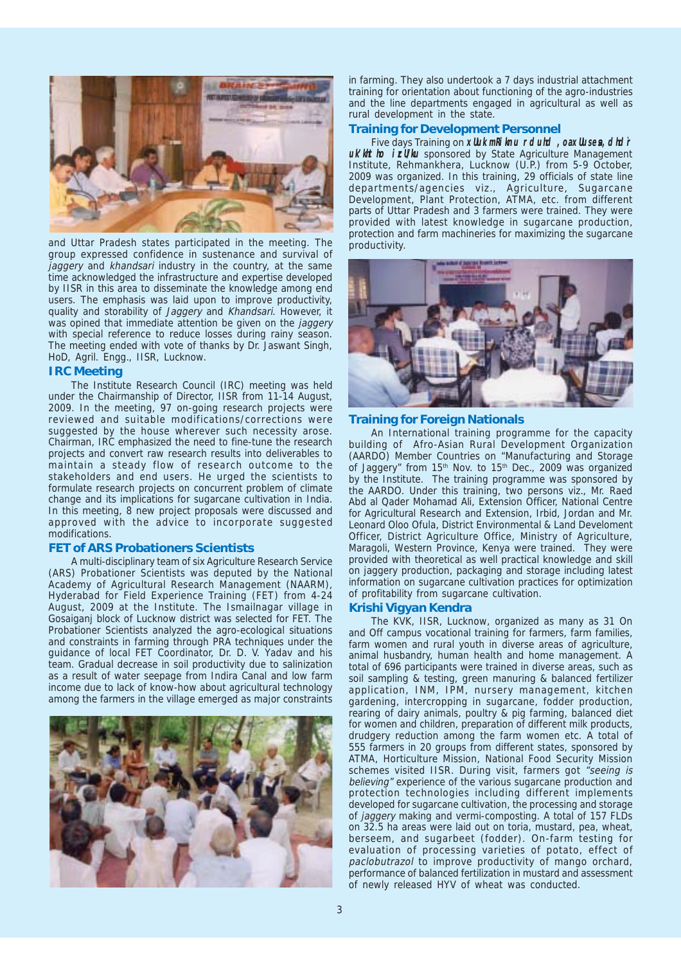

and Uttar Pradesh states participated in the meeting. The group expressed confidence in sustenance and survival of jaggery and khandsari industry in the country, at the same time acknowledged the infrastructure and expertise developed by IISR in this area to disseminate the knowledge among end users. The emphasis was laid upon to improve productivity, quality and storability of Jaggery and Khandsari. However, it was opined that immediate attention be given on the jaggery with special reference to reduce losses during rainy season. The meeting ended with vote of thanks by Dr. Jaswant Singh, HoD, Agril. Engg., IISR, Lucknow.

### **IRC Meeting**

The Institute Research Council (IRC) meeting was held under the Chairmanship of Director, IISR from 11-14 August, 2009. In the meeting, 97 on-going research projects were reviewed and suitable modifications/corrections were suggested by the house wherever such necessity arose. Chairman, IRC emphasized the need to fine-tune the research projects and convert raw research results into deliverables to maintain a steady flow of research outcome to the stakeholders and end users. He urged the scientists to formulate research projects on concurrent problem of climate change and its implications for sugarcane cultivation in India. In this meeting, 8 new project proposals were discussed and approved with the advice to incorporate suggested modifications.

### **FET of ARS Probationers Scientists**

A multi-disciplinary team of six Agriculture Research Service (ARS) Probationer Scientists was deputed by the National Academy of Agricultural Research Management (NAARM), Hyderabad for Field Experience Training (FET) from 4-24 August, 2009 at the Institute. The Ismailnagar village in Gosaiganj block of Lucknow district was selected for FET. The Probationer Scientists analyzed the agro-ecological situations and constraints in farming through PRA techniques under the guidance of local FET Coordinator, Dr. D. V. Yadav and his team. Gradual decrease in soil productivity due to salinization as a result of water seepage from Indira Canal and low farm income due to lack of know-how about agricultural technology among the farmers in the village emerged as major constraints



in farming. They also undertook a 7 days industrial attachment training for orientation about functioning of the agro-industries and the line departments engaged in agricultural as well as rural development in the state.

## **Training for Development Personnel**

Five days Training on **xUuk mRiknu rduhd** , oaxUusea, dhd'r **uk'lhtho i cl/ku** sponsored by State Agriculture Management Institute, Rehmankhera, Lucknow (U.P.) from 5-9 October, 2009 was organized. In this training, 29 officials of state line departments/agencies viz., Agriculture, Sugarcane Development, Plant Protection, ATMA, etc. from different parts of Uttar Pradesh and 3 farmers were trained. They were provided with latest knowledge in sugarcane production, protection and farm machineries for maximizing the sugarcane productivity.



#### **Training for Foreign Nationals**

An International training programme for the capacity building of Afro-Asian Rural Development Organization (AARDO) Member Countries on "Manufacturing and Storage of Jaggery" from 15th Nov. to 15th Dec., 2009 was organized by the Institute. The training programme was sponsored by the AARDO. Under this training, two persons viz., Mr. Raed Abd al Qader Mohamad Ali, Extension Officer, National Centre for Agricultural Research and Extension, Irbid, Jordan and Mr. Leonard Oloo Ofula, District Environmental & Land Develoment Officer, District Agriculture Office, Ministry of Agriculture, Maragoli, Western Province, Kenya were trained. They were provided with theoretical as well practical knowledge and skill on jaggery production, packaging and storage including latest information on sugarcane cultivation practices for optimization of profitability from sugarcane cultivation.

### **Krishi Vigyan Kendra**

The KVK, IISR, Lucknow, organized as many as 31 On and Off campus vocational training for farmers, farm families, farm women and rural youth in diverse areas of agriculture, animal husbandry, human health and home management. A total of 696 participants were trained in diverse areas, such as soil sampling & testing, green manuring & balanced fertilizer application, INM, IPM, nursery management, kitchen gardening, intercropping in sugarcane, fodder production, rearing of dairy animals, poultry & pig farming, balanced diet for women and children, preparation of different milk products, drudgery reduction among the farm women etc. A total of 555 farmers in 20 groups from different states, sponsored by ATMA, Horticulture Mission, National Food Security Mission schemes visited IISR. During visit, farmers got "seeing is believing" experience of the various sugarcane production and protection technologies including different implements developed for sugarcane cultivation, the processing and storage of jaggery making and vermi-composting. A total of 157 FLDs on 32.5 ha areas were laid out on toria, mustard, pea, wheat, berseem, and sugarbeet (fodder). On-farm testing for evaluation of processing varieties of potato, effect of paclobutrazol to improve productivity of mango orchard, performance of balanced fertilization in mustard and assessment of newly released HYV of wheat was conducted.